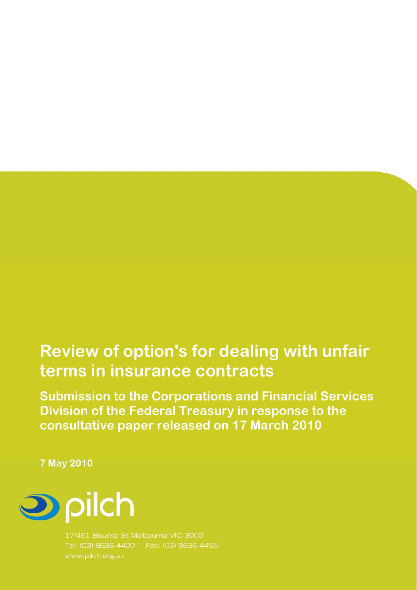# **Review of option's for dealing with unfair terms in insurance contracts**

**Submission to the Corporations and Financial Services Division of the Federal Treasury in response to the consultative paper released on 17 March 2010** 

**7 May 2010** 



17/461 Bourke St Melbourne VIC 3000 Tel: (03) 8636 4400 | Fax: (03) 8636 4455 www.pilch.org.su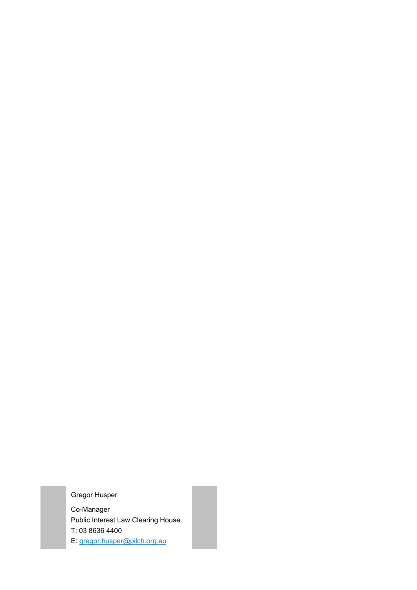Gregor Husper

Co-Manager Public Interest Law Clearing House T: 03 8636 4400 E: gregor.husper@pilch.org.au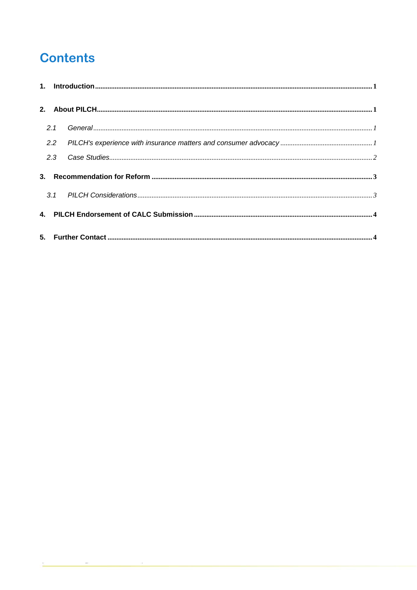## **Contents**

| 2.1 |  |
|-----|--|
| 2.2 |  |
| 2.3 |  |
|     |  |
|     |  |
|     |  |
|     |  |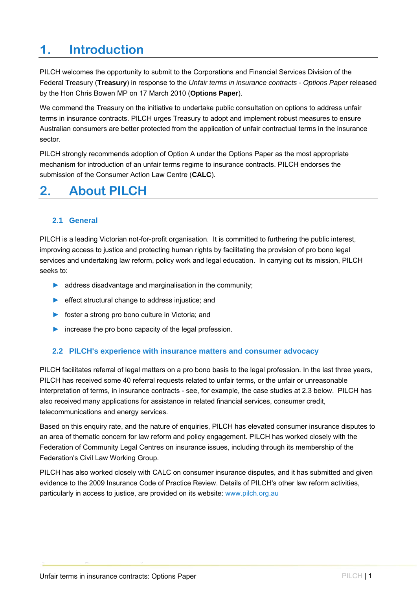## **1. Introduction**

PILCH welcomes the opportunity to submit to the Corporations and Financial Services Division of the Federal Treasury (**Treasury**) in response to the *Unfair terms in insurance contracts - Options Paper* released by the Hon Chris Bowen MP on 17 March 2010 (**Options Paper**).

We commend the Treasury on the initiative to undertake public consultation on options to address unfair terms in insurance contracts. PILCH urges Treasury to adopt and implement robust measures to ensure Australian consumers are better protected from the application of unfair contractual terms in the insurance sector.

PILCH strongly recommends adoption of Option A under the Options Paper as the most appropriate mechanism for introduction of an unfair terms regime to insurance contracts. PILCH endorses the submission of the Consumer Action Law Centre (**CALC**).

### **2. About PILCH**

### **2.1 General**

PILCH is a leading Victorian not-for-profit organisation. It is committed to furthering the public interest, improving access to justice and protecting human rights by facilitating the provision of pro bono legal services and undertaking law reform, policy work and legal education. In carrying out its mission, PILCH seeks to:

- ► address disadvantage and marginalisation in the community;
- ► effect structural change to address injustice; and
- ► foster a strong pro bono culture in Victoria; and
- ► increase the pro bono capacity of the legal profession.

### **2.2 PILCH's experience with insurance matters and consumer advocacy**

PILCH facilitates referral of legal matters on a pro bono basis to the legal profession. In the last three years, PILCH has received some 40 referral requests related to unfair terms, or the unfair or unreasonable interpretation of terms, in insurance contracts - see, for example, the case studies at 2.3 below. PILCH has also received many applications for assistance in related financial services, consumer credit, telecommunications and energy services.

Based on this enquiry rate, and the nature of enquiries, PILCH has elevated consumer insurance disputes to an area of thematic concern for law reform and policy engagement. PILCH has worked closely with the Federation of Community Legal Centres on insurance issues, including through its membership of the Federation's Civil Law Working Group.

PILCH has also worked closely with CALC on consumer insurance disputes, and it has submitted and given evidence to the 2009 Insurance Code of Practice Review. Details of PILCH's other law reform activities, particularly in access to justice, are provided on its website: www.pilch.org.au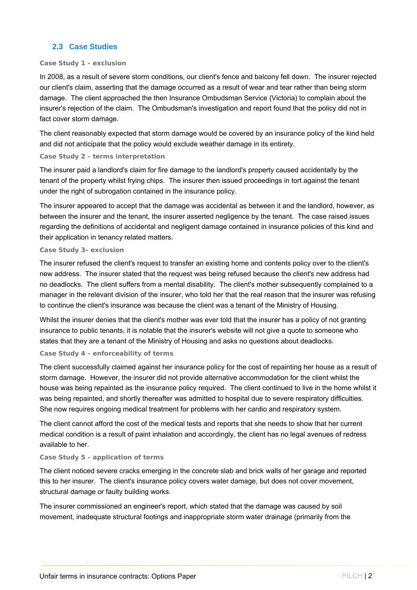### **2.3 Case Studies**

#### **Case Study 1 - exclusion**

In 2008, as a result of severe storm conditions, our client's fence and balcony fell down. The insurer rejected our client's claim, asserting that the damage occurred as a result of wear and tear rather than being storm damage. The client approached the then Insurance Ombudsman Service (Victoria) to complain about the insurer's rejection of the claim. The Ombudsman's investigation and report found that the policy did not in fact cover storm damage.

The client reasonably expected that storm damage would be covered by an insurance policy of the kind held and did not anticipate that the policy would exclude weather damage in its entirety.

#### **Case Study 2 - terms interpretation**

The insurer paid a landlord's claim for fire damage to the landlord's property caused accidentally by the tenant of the property whilst frying chips. The insurer then issued proceedings in tort against the tenant under the right of subrogation contained in the insurance policy.

The insurer appeared to accept that the damage was accidental as between it and the landlord, however, as between the insurer and the tenant, the insurer asserted negligence by the tenant. The case raised issues regarding the definitions of accidental and negligent damage contained in insurance policies of this kind and their application in tenancy related matters.

#### **Case Study 3- exclusion**

The insurer refused the client's request to transfer an existing home and contents policy over to the client's new address. The insurer stated that the request was being refused because the client's new address had no deadlocks. The client suffers from a mental disability. The client's mother subsequently complained to a manager in the relevant division of the insurer, who told her that the real reason that the insurer was refusing to continue the client's insurance was because the client was a tenant of the Ministry of Housing.

Whilst the insurer denies that the client's mother was ever told that the insurer has a policy of not granting insurance to public tenants, it is notable that the insurer's website will not give a quote to someone who states that they are a tenant of the Ministry of Housing and asks no questions about deadlocks.

#### **Case Study 4 - enforceability of terms**

The client successfully claimed against her insurance policy for the cost of repainting her house as a result of storm damage. However, the insurer did not provide alternative accommodation for the client whilst the house was being repainted as the insurance policy required. The client continued to live in the home whilst it was being repainted, and shortly thereafter was admitted to hospital due to severe respiratory difficulties. She now requires ongoing medical treatment for problems with her cardio and respiratory system.

The client cannot afford the cost of the medical tests and reports that she needs to show that her current medical condition is a result of paint inhalation and accordingly, the client has no legal avenues of redress available to her.

#### **Case Study 5 - application of terms**

The client noticed severe cracks emerging in the concrete slab and brick walls of her garage and reported this to her insurer. The client's insurance policy covers water damage, but does not cover movement, structural damage or faulty building works.

The insurer commissioned an engineer's report, which stated that the damage was caused by soil movement, inadequate structural footings and inappropriate storm water drainage (primarily from the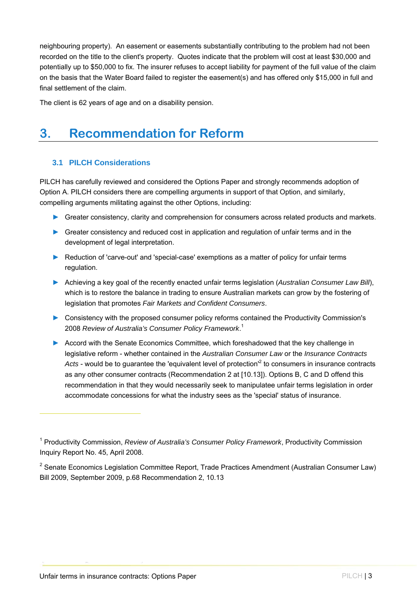neighbouring property). An easement or easements substantially contributing to the problem had not been recorded on the title to the client's property. Quotes indicate that the problem will cost at least \$30,000 and potentially up to \$50,000 to fix. The insurer refuses to accept liability for payment of the full value of the claim on the basis that the Water Board failed to register the easement(s) and has offered only \$15,000 in full and final settlement of the claim.

The client is 62 years of age and on a disability pension.

## **3. Recommendation for Reform**

### **3.1 PILCH Considerations**

PILCH has carefully reviewed and considered the Options Paper and strongly recommends adoption of Option A. PILCH considers there are compelling arguments in support of that Option, and similarly, compelling arguments militating against the other Options, including:

- ► Greater consistency, clarity and comprehension for consumers across related products and markets.
- ► Greater consistency and reduced cost in application and regulation of unfair terms and in the development of legal interpretation.
- ► Reduction of 'carve-out' and 'special-case' exemptions as a matter of policy for unfair terms regulation.
- ► Achieving a key goal of the recently enacted unfair terms legislation (*Australian Consumer Law Bill*), which is to restore the balance in trading to ensure Australian markets can grow by the fostering of legislation that promotes *Fair Markets and Confident Consumers*.
- ► Consistency with the proposed consumer policy reforms contained the Productivity Commission's 2008 *Review of Australia's Consumer Policy Framework*. 1
- ► Accord with the Senate Economics Committee, which foreshadowed that the key challenge in legislative reform - whether contained in the *Australian Consumer Law* or the *Insurance Contracts*  Acts - would be to guarantee the 'equivalent level of protection<sup>'2</sup> to consumers in insurance contracts as any other consumer contracts (Recommendation 2 at [10.13]). Options B, C and D offend this recommendation in that they would necessarily seek to manipulatee unfair terms legislation in order accommodate concessions for what the industry sees as the 'special' status of insurance.

<sup>2</sup> Senate Economics Legislation Committee Report, Trade Practices Amendment (Australian Consumer Law) Bill 2009, September 2009, p.68 Recommendation 2, 10.13

 $\overline{a}$ 

<sup>&</sup>lt;sup>1</sup> Productivity Commission, *Review of Australia's Consumer Policy Framework*, Productivity Commission Inquiry Report No. 45, April 2008.